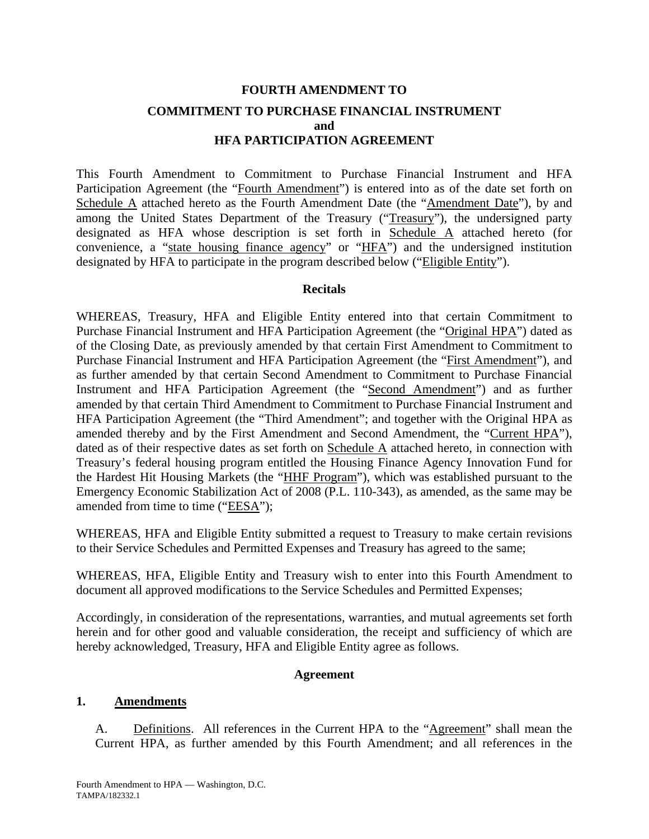# **FOURTH AMENDMENT TO COMMITMENT TO PURCHASE FINANCIAL INSTRUMENT and HFA PARTICIPATION AGREEMENT**

This Fourth Amendment to Commitment to Purchase Financial Instrument and HFA Participation Agreement (the "Fourth Amendment") is entered into as of the date set forth on Schedule A attached hereto as the Fourth Amendment Date (the "Amendment Date"), by and among the United States Department of the Treasury ("Treasury"), the undersigned party designated as HFA whose description is set forth in Schedule A attached hereto (for convenience, a "state housing finance agency" or "HFA") and the undersigned institution designated by HFA to participate in the program described below ("Eligible Entity").

## **Recitals**

WHEREAS, Treasury, HFA and Eligible Entity entered into that certain Commitment to Purchase Financial Instrument and HFA Participation Agreement (the "Original HPA") dated as of the Closing Date, as previously amended by that certain First Amendment to Commitment to Purchase Financial Instrument and HFA Participation Agreement (the "First Amendment"), and as further amended by that certain Second Amendment to Commitment to Purchase Financial Instrument and HFA Participation Agreement (the "Second Amendment") and as further amended by that certain Third Amendment to Commitment to Purchase Financial Instrument and HFA Participation Agreement (the "Third Amendment"; and together with the Original HPA as amended thereby and by the First Amendment and Second Amendment, the "Current HPA"), dated as of their respective dates as set forth on Schedule A attached hereto, in connection with Treasury's federal housing program entitled the Housing Finance Agency Innovation Fund for the Hardest Hit Housing Markets (the "HHF Program"), which was established pursuant to the Emergency Economic Stabilization Act of 2008 (P.L. 110-343), as amended, as the same may be amended from time to time ("EESA");

WHEREAS, HFA and Eligible Entity submitted a request to Treasury to make certain revisions to their Service Schedules and Permitted Expenses and Treasury has agreed to the same;

WHEREAS, HFA, Eligible Entity and Treasury wish to enter into this Fourth Amendment to document all approved modifications to the Service Schedules and Permitted Expenses;

Accordingly, in consideration of the representations, warranties, and mutual agreements set forth herein and for other good and valuable consideration, the receipt and sufficiency of which are hereby acknowledged, Treasury, HFA and Eligible Entity agree as follows.

## **Agreement**

## **1. Amendments**

A. Definitions. All references in the Current HPA to the "Agreement" shall mean the Current HPA, as further amended by this Fourth Amendment; and all references in the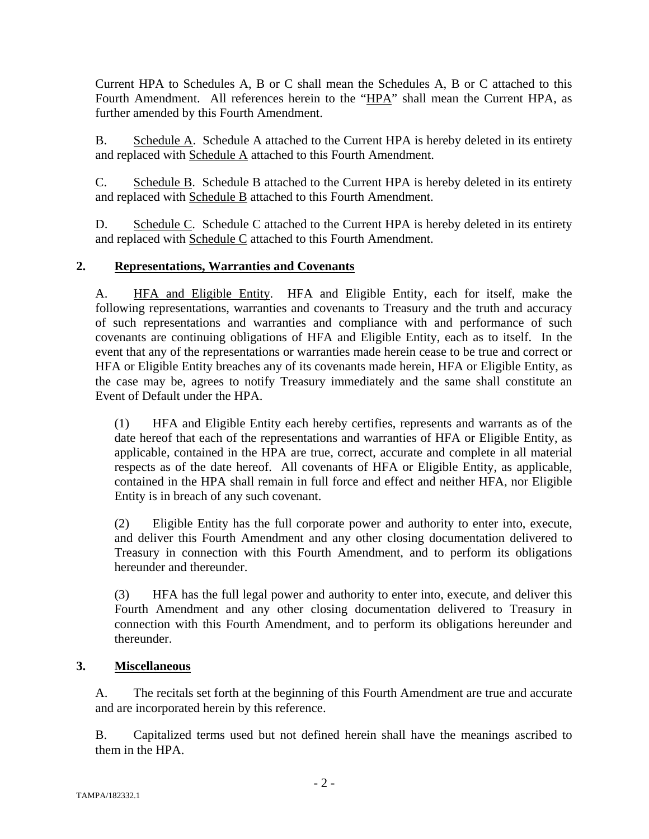Current HPA to Schedules A, B or C shall mean the Schedules A, B or C attached to this Fourth Amendment. All references herein to the "HPA" shall mean the Current HPA, as further amended by this Fourth Amendment.

B. Schedule A. Schedule A attached to the Current HPA is hereby deleted in its entirety and replaced with Schedule A attached to this Fourth Amendment.

C. Schedule B. Schedule B attached to the Current HPA is hereby deleted in its entirety and replaced with Schedule B attached to this Fourth Amendment.

D. Schedule C. Schedule C attached to the Current HPA is hereby deleted in its entirety and replaced with Schedule C attached to this Fourth Amendment.

# **2. Representations, Warranties and Covenants**

A. HFA and Eligible Entity. HFA and Eligible Entity, each for itself, make the following representations, warranties and covenants to Treasury and the truth and accuracy of such representations and warranties and compliance with and performance of such covenants are continuing obligations of HFA and Eligible Entity, each as to itself. In the event that any of the representations or warranties made herein cease to be true and correct or HFA or Eligible Entity breaches any of its covenants made herein, HFA or Eligible Entity, as the case may be, agrees to notify Treasury immediately and the same shall constitute an Event of Default under the HPA.

(1) HFA and Eligible Entity each hereby certifies, represents and warrants as of the date hereof that each of the representations and warranties of HFA or Eligible Entity, as applicable, contained in the HPA are true, correct, accurate and complete in all material respects as of the date hereof. All covenants of HFA or Eligible Entity, as applicable, contained in the HPA shall remain in full force and effect and neither HFA, nor Eligible Entity is in breach of any such covenant.

(2) Eligible Entity has the full corporate power and authority to enter into, execute, and deliver this Fourth Amendment and any other closing documentation delivered to Treasury in connection with this Fourth Amendment, and to perform its obligations hereunder and thereunder.

(3) HFA has the full legal power and authority to enter into, execute, and deliver this Fourth Amendment and any other closing documentation delivered to Treasury in connection with this Fourth Amendment, and to perform its obligations hereunder and thereunder.

# **3. Miscellaneous**

A. The recitals set forth at the beginning of this Fourth Amendment are true and accurate and are incorporated herein by this reference.

B. Capitalized terms used but not defined herein shall have the meanings ascribed to them in the HPA.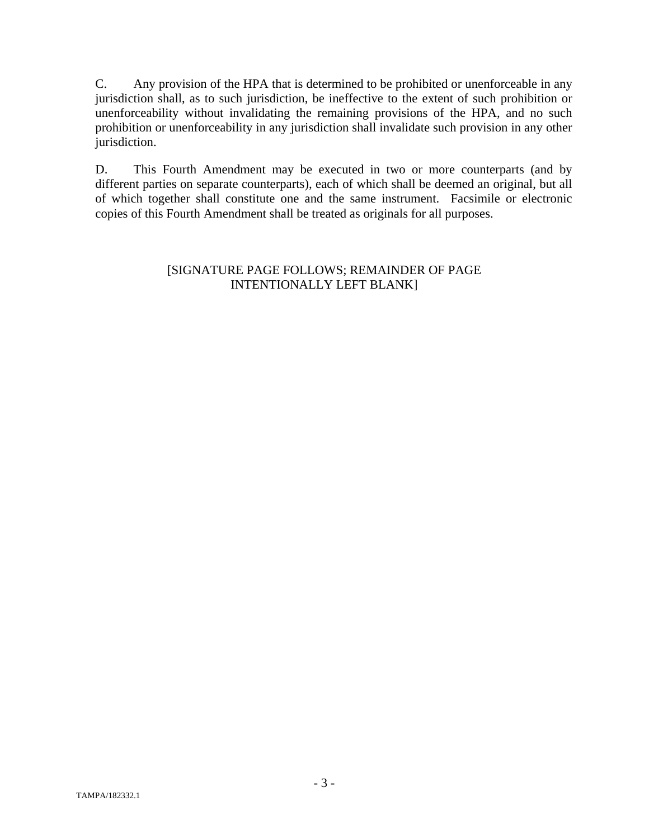C. Any provision of the HPA that is determined to be prohibited or unenforceable in any jurisdiction shall, as to such jurisdiction, be ineffective to the extent of such prohibition or unenforceability without invalidating the remaining provisions of the HPA, and no such prohibition or unenforceability in any jurisdiction shall invalidate such provision in any other jurisdiction.

D. This Fourth Amendment may be executed in two or more counterparts (and by different parties on separate counterparts), each of which shall be deemed an original, but all of which together shall constitute one and the same instrument. Facsimile or electronic copies of this Fourth Amendment shall be treated as originals for all purposes.

# [SIGNATURE PAGE FOLLOWS; REMAINDER OF PAGE INTENTIONALLY LEFT BLANK]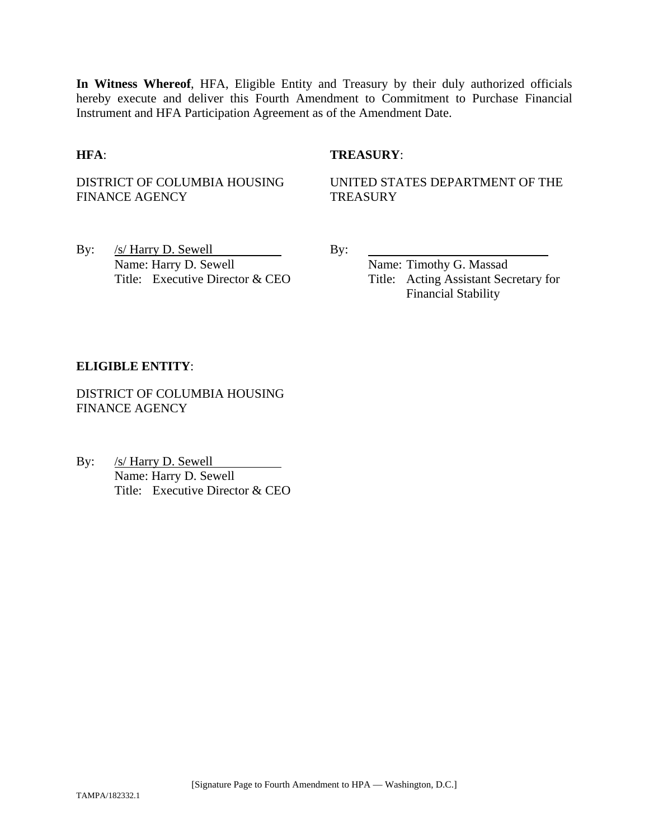**In Witness Whereof**, HFA, Eligible Entity and Treasury by their duly authorized officials hereby execute and deliver this Fourth Amendment to Commitment to Purchase Financial Instrument and HFA Participation Agreement as of the Amendment Date.

## **HFA**: **TREASURY**:

DISTRICT OF COLUMBIA HOUSING FINANCE AGENCY

UNITED STATES DEPARTMENT OF THE **TREASURY** 

By:  $/s/$  Harry D. Sewell By: Name: Harry D. Sewell Name: Timothy G. Massad

Title: Executive Director & CEO Title: Acting Assistant Secretary for Financial Stability

## **ELIGIBLE ENTITY**:

DISTRICT OF COLUMBIA HOUSING FINANCE AGENCY

By: /s/ Harry D. Sewell Name: Harry D. Sewell Title: Executive Director & CEO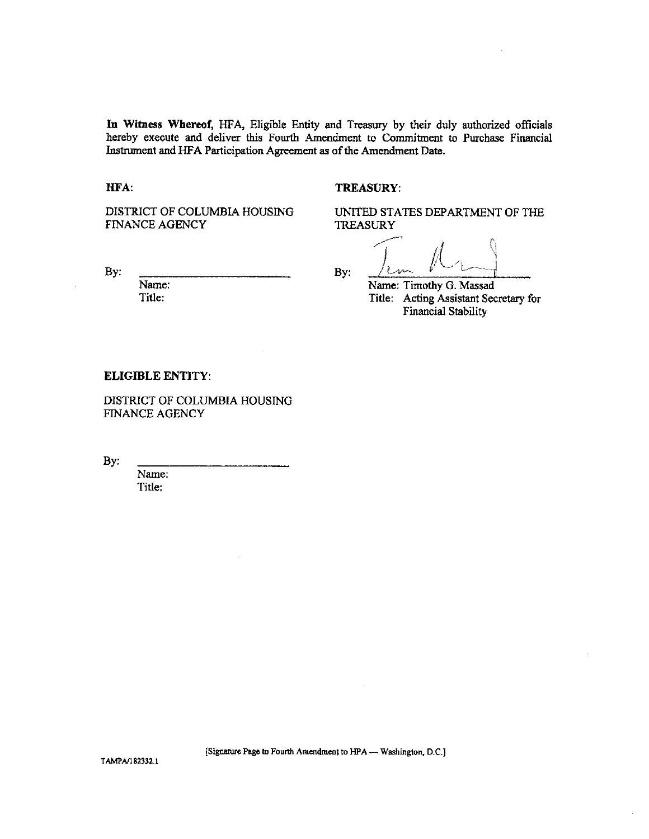In Witness Whereof, HFA, Eligible Entity and Treasury by their duly authorized officials hereby execute and deliver this Fourth Amendment to Commitment to Purchase Financial Instrument and HFA Participation Agreement as of the Amendment Date.

HFA:

### **TREASURY:**

DISTRICT OF COLUMBIA HOUSING **FINANCE AGENCY** 

UNITED STATES DEPARTMENT OF THE **TREASURY** 

By:

Name: Title:

By:

Name: Timothy G. Massad

Title: Acting Assistant Secretary for **Financial Stability** 

#### **ELIGIBLE ENTITY:**

DISTRICT OF COLUMBIA HOUSING FINANCE AGENCY

By:

Name: Title:

[Signature Page to Fourth Amendment to HPA - Washington, D.C.]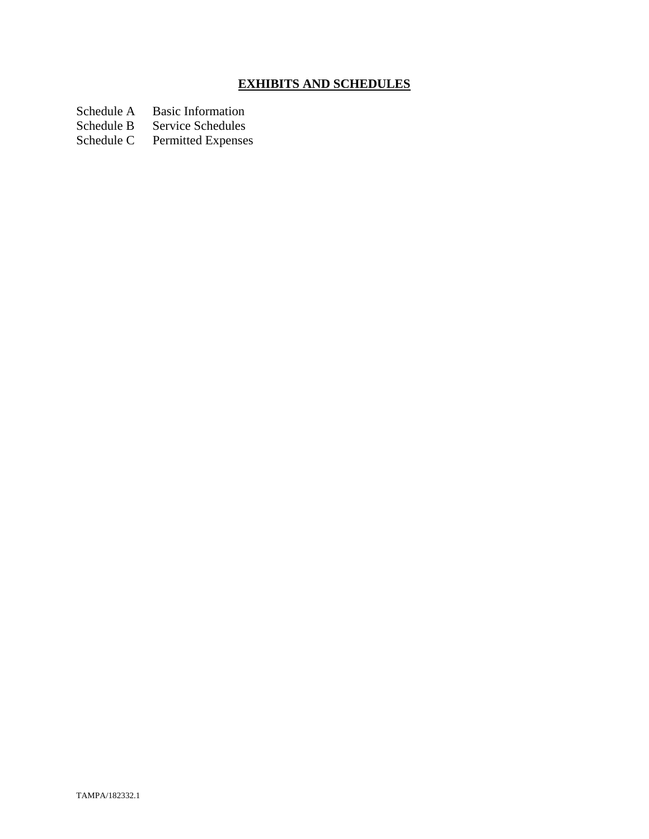# **EXHIBITS AND SCHEDULES**

Schedule A Basic Information<br>Schedule B Service Schedules

Schedule B Service Schedules<br>Schedule C Permitted Expenses

Permitted Expenses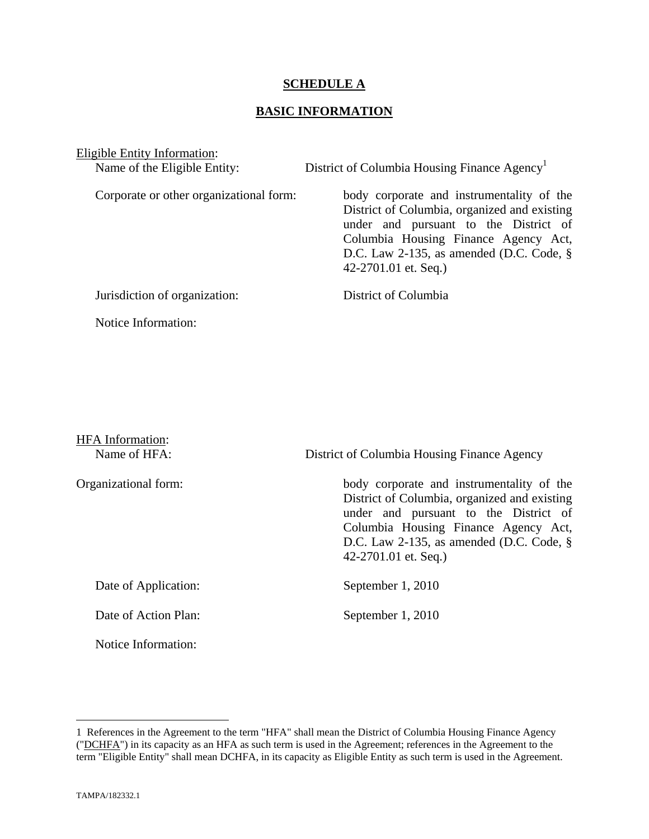## **SCHEDULE A**

## **BASIC INFORMATION**

Eligible Entity Information:

Name of the Eligible Entity: District of Columbia Housing Finance Agency<sup>1</sup> Corporate or other organizational form: body corporate and instrumentality of the District of Columbia, organized and existing under and pursuant to the District of Columbia Housing Finance Agency Act, D.C. Law 2-135, as amended (D.C. Code, § 42-2701.01 et. Seq.) Jurisdiction of organization: District of Columbia Notice Information:

| <b>HFA</b> Information: |                                                                                                                                                                                                                                                     |  |
|-------------------------|-----------------------------------------------------------------------------------------------------------------------------------------------------------------------------------------------------------------------------------------------------|--|
| Name of HFA:            | District of Columbia Housing Finance Agency                                                                                                                                                                                                         |  |
| Organizational form:    | body corporate and instrumentality of the<br>District of Columbia, organized and existing<br>under and pursuant to the District of<br>Columbia Housing Finance Agency Act,<br>D.C. Law 2-135, as amended (D.C. Code, $\S$ )<br>42-2701.01 et. Seq.) |  |
| Date of Application:    | September 1, 2010                                                                                                                                                                                                                                   |  |
| Date of Action Plan:    | September 1, 2010                                                                                                                                                                                                                                   |  |

1

Notice Information:

<sup>1</sup> References in the Agreement to the term "HFA" shall mean the District of Columbia Housing Finance Agency ("DCHFA") in its capacity as an HFA as such term is used in the Agreement; references in the Agreement to the term "Eligible Entity" shall mean DCHFA, in its capacity as Eligible Entity as such term is used in the Agreement.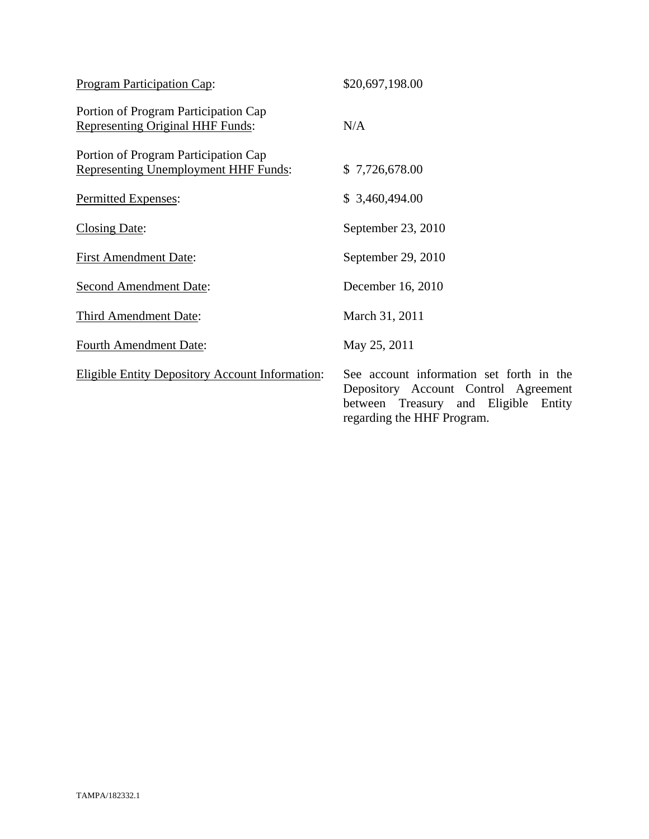| <b>Program Participation Cap:</b>                                               | \$20,697,198.00                                                                                                                                           |
|---------------------------------------------------------------------------------|-----------------------------------------------------------------------------------------------------------------------------------------------------------|
| Portion of Program Participation Cap<br><b>Representing Original HHF Funds:</b> | N/A                                                                                                                                                       |
| Portion of Program Participation Cap<br>Representing Unemployment HHF Funds:    | \$7,726,678.00                                                                                                                                            |
| Permitted Expenses:                                                             | \$3,460,494.00                                                                                                                                            |
| <b>Closing Date:</b>                                                            | September 23, 2010                                                                                                                                        |
| <b>First Amendment Date:</b>                                                    | September 29, 2010                                                                                                                                        |
| <b>Second Amendment Date:</b>                                                   | December 16, 2010                                                                                                                                         |
| Third Amendment Date:                                                           | March 31, 2011                                                                                                                                            |
| <b>Fourth Amendment Date:</b>                                                   | May 25, 2011                                                                                                                                              |
| <b>Eligible Entity Depository Account Information:</b>                          | See account information set forth in the<br>Depository Account Control Agreement<br>between Treasury and Eligible<br>Entity<br>regarding the HHF Program. |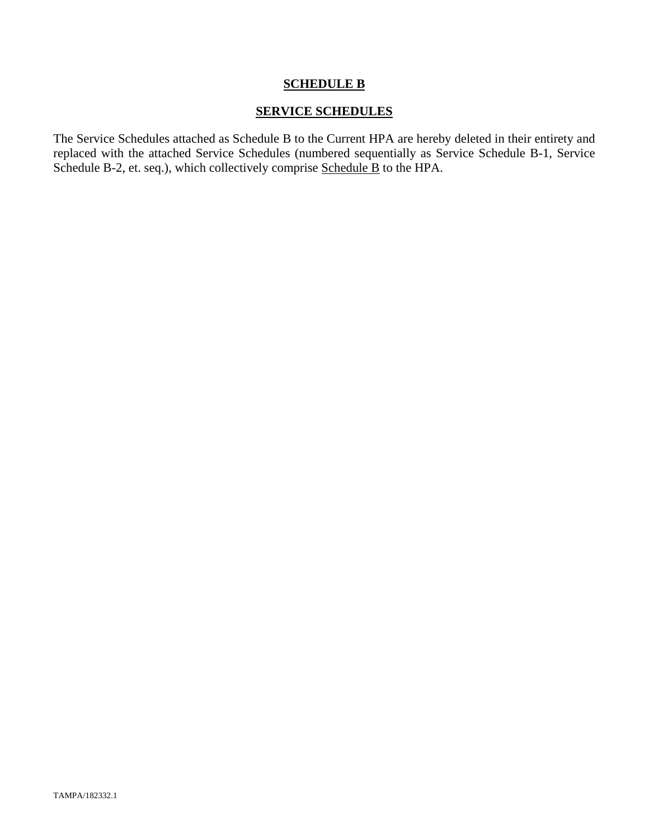## **SCHEDULE B**

## **SERVICE SCHEDULES**

The Service Schedules attached as Schedule B to the Current HPA are hereby deleted in their entirety and replaced with the attached Service Schedules (numbered sequentially as Service Schedule B-1, Service Schedule B-2, et. seq.), which collectively comprise Schedule B to the HPA.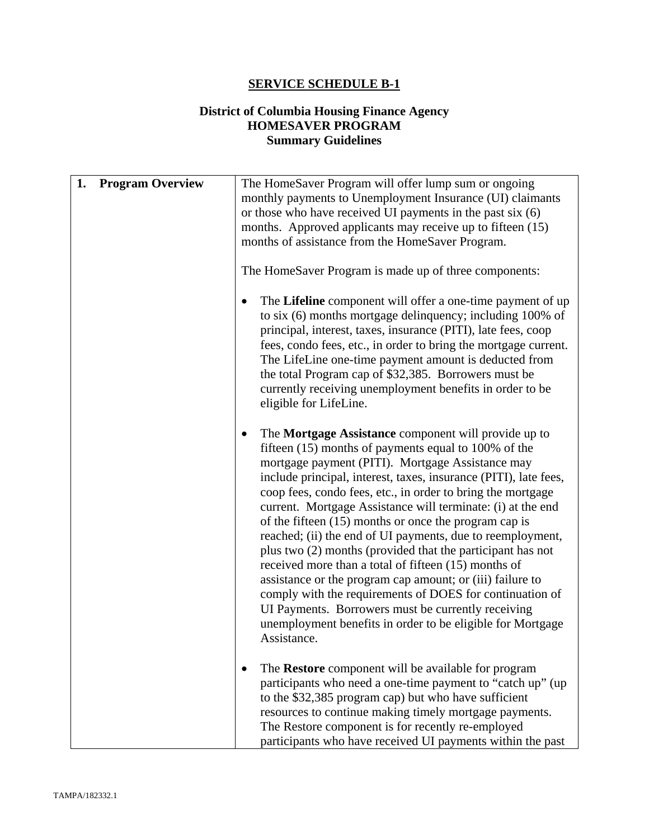# **SERVICE SCHEDULE B-1**

# **District of Columbia Housing Finance Agency HOMESAVER PROGRAM Summary Guidelines**

| 1. | <b>Program Overview</b> | The HomeSaver Program will offer lump sum or ongoing<br>monthly payments to Unemployment Insurance (UI) claimants<br>or those who have received UI payments in the past six $(6)$<br>months. Approved applicants may receive up to fifteen (15)<br>months of assistance from the HomeSaver Program.<br>The HomeSaver Program is made up of three components:<br>The Lifeline component will offer a one-time payment of up                                                                                                                                                                                                                                                                                                                                                                                                                                                                 |
|----|-------------------------|--------------------------------------------------------------------------------------------------------------------------------------------------------------------------------------------------------------------------------------------------------------------------------------------------------------------------------------------------------------------------------------------------------------------------------------------------------------------------------------------------------------------------------------------------------------------------------------------------------------------------------------------------------------------------------------------------------------------------------------------------------------------------------------------------------------------------------------------------------------------------------------------|
|    |                         | to six (6) months mortgage delinquency; including 100% of<br>principal, interest, taxes, insurance (PITI), late fees, coop<br>fees, condo fees, etc., in order to bring the mortgage current.<br>The LifeLine one-time payment amount is deducted from<br>the total Program cap of \$32,385. Borrowers must be<br>currently receiving unemployment benefits in order to be<br>eligible for LifeLine.                                                                                                                                                                                                                                                                                                                                                                                                                                                                                       |
|    |                         | The Mortgage Assistance component will provide up to<br>$\bullet$<br>fifteen (15) months of payments equal to 100% of the<br>mortgage payment (PITI). Mortgage Assistance may<br>include principal, interest, taxes, insurance (PITI), late fees,<br>coop fees, condo fees, etc., in order to bring the mortgage<br>current. Mortgage Assistance will terminate: (i) at the end<br>of the fifteen $(15)$ months or once the program cap is<br>reached; (ii) the end of UI payments, due to reemployment,<br>plus two (2) months (provided that the participant has not<br>received more than a total of fifteen (15) months of<br>assistance or the program cap amount; or (iii) failure to<br>comply with the requirements of DOES for continuation of<br>UI Payments. Borrowers must be currently receiving<br>unemployment benefits in order to be eligible for Mortgage<br>Assistance. |
|    |                         | The Restore component will be available for program<br>participants who need a one-time payment to "catch up" (up<br>to the \$32,385 program cap) but who have sufficient<br>resources to continue making timely mortgage payments.<br>The Restore component is for recently re-employed<br>participants who have received UI payments within the past                                                                                                                                                                                                                                                                                                                                                                                                                                                                                                                                     |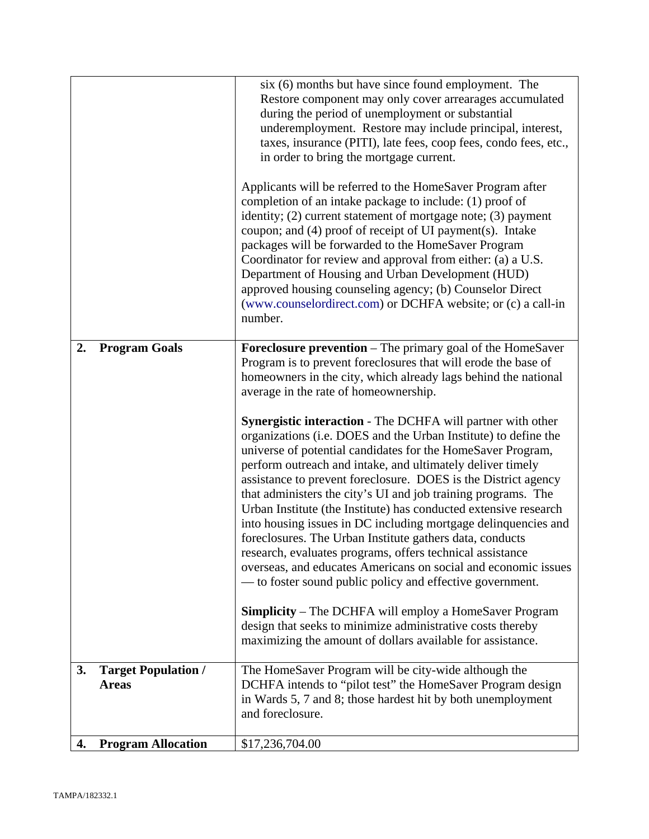|    |                                            | six (6) months but have since found employment. The<br>Restore component may only cover arrearages accumulated<br>during the period of unemployment or substantial<br>underemployment. Restore may include principal, interest,<br>taxes, insurance (PITI), late fees, coop fees, condo fees, etc.,<br>in order to bring the mortgage current.<br>Applicants will be referred to the HomeSaver Program after<br>completion of an intake package to include: (1) proof of<br>identity; (2) current statement of mortgage note; (3) payment<br>coupon; and (4) proof of receipt of UI payment(s). Intake<br>packages will be forwarded to the HomeSaver Program<br>Coordinator for review and approval from either: (a) a U.S.<br>Department of Housing and Urban Development (HUD)<br>approved housing counseling agency; (b) Counselor Direct<br>(www.counselordirect.com) or DCHFA website; or (c) a call-in<br>number.                                                                                                                                                                                                                                                                                                                           |
|----|--------------------------------------------|----------------------------------------------------------------------------------------------------------------------------------------------------------------------------------------------------------------------------------------------------------------------------------------------------------------------------------------------------------------------------------------------------------------------------------------------------------------------------------------------------------------------------------------------------------------------------------------------------------------------------------------------------------------------------------------------------------------------------------------------------------------------------------------------------------------------------------------------------------------------------------------------------------------------------------------------------------------------------------------------------------------------------------------------------------------------------------------------------------------------------------------------------------------------------------------------------------------------------------------------------|
| 2. | <b>Program Goals</b>                       | <b>Foreclosure prevention</b> – The primary goal of the HomeSaver<br>Program is to prevent foreclosures that will erode the base of<br>homeowners in the city, which already lags behind the national<br>average in the rate of homeownership.<br><b>Synergistic interaction</b> - The DCHFA will partner with other<br>organizations (i.e. DOES and the Urban Institute) to define the<br>universe of potential candidates for the HomeSaver Program,<br>perform outreach and intake, and ultimately deliver timely<br>assistance to prevent foreclosure. DOES is the District agency<br>that administers the city's UI and job training programs. The<br>Urban Institute (the Institute) has conducted extensive research<br>into housing issues in DC including mortgage delinquencies and<br>foreclosures. The Urban Institute gathers data, conducts<br>research, evaluates programs, offers technical assistance<br>overseas, and educates Americans on social and economic issues<br>— to foster sound public policy and effective government.<br><b>Simplicity</b> – The DCHFA will employ a HomeSaver Program<br>design that seeks to minimize administrative costs thereby<br>maximizing the amount of dollars available for assistance. |
| 3. | <b>Target Population /</b><br><b>Areas</b> | The HomeSaver Program will be city-wide although the<br>DCHFA intends to "pilot test" the HomeSaver Program design<br>in Wards 5, 7 and 8; those hardest hit by both unemployment<br>and foreclosure.                                                                                                                                                                                                                                                                                                                                                                                                                                                                                                                                                                                                                                                                                                                                                                                                                                                                                                                                                                                                                                              |
| 4. | <b>Program Allocation</b>                  | \$17,236,704.00                                                                                                                                                                                                                                                                                                                                                                                                                                                                                                                                                                                                                                                                                                                                                                                                                                                                                                                                                                                                                                                                                                                                                                                                                                    |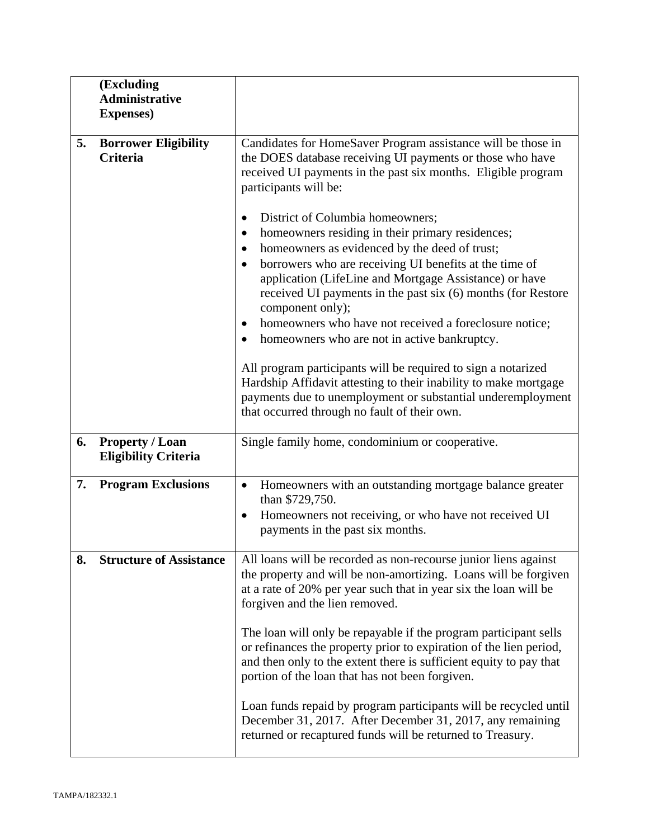|    | (Excluding<br><b>Administrative</b><br><b>Expenses</b> ) |                                                                                                                                                                                                                                                                                                                                                                                                                                                                                                                                                                                         |  |
|----|----------------------------------------------------------|-----------------------------------------------------------------------------------------------------------------------------------------------------------------------------------------------------------------------------------------------------------------------------------------------------------------------------------------------------------------------------------------------------------------------------------------------------------------------------------------------------------------------------------------------------------------------------------------|--|
| 5. | <b>Borrower Eligibility</b><br><b>Criteria</b>           | Candidates for HomeSaver Program assistance will be those in<br>the DOES database receiving UI payments or those who have<br>received UI payments in the past six months. Eligible program<br>participants will be:<br>District of Columbia homeowners;<br>$\bullet$<br>homeowners residing in their primary residences;<br>homeowners as evidenced by the deed of trust;<br>$\bullet$<br>borrowers who are receiving UI benefits at the time of<br>$\bullet$<br>application (LifeLine and Mortgage Assistance) or have<br>received UI payments in the past six (6) months (for Restore |  |
|    |                                                          | component only);<br>homeowners who have not received a foreclosure notice;<br>٠<br>homeowners who are not in active bankruptcy.<br>$\bullet$<br>All program participants will be required to sign a notarized<br>Hardship Affidavit attesting to their inability to make mortgage<br>payments due to unemployment or substantial underemployment<br>that occurred through no fault of their own.                                                                                                                                                                                        |  |
| 6. | <b>Property / Loan</b><br><b>Eligibility Criteria</b>    | Single family home, condominium or cooperative.                                                                                                                                                                                                                                                                                                                                                                                                                                                                                                                                         |  |
| 7. | <b>Program Exclusions</b>                                | Homeowners with an outstanding mortgage balance greater<br>$\bullet$<br>than \$729,750.<br>Homeowners not receiving, or who have not received UI<br>$\bullet$<br>payments in the past six months.                                                                                                                                                                                                                                                                                                                                                                                       |  |
| 8. | <b>Structure of Assistance</b>                           | All loans will be recorded as non-recourse junior liens against<br>the property and will be non-amortizing. Loans will be forgiven<br>at a rate of 20% per year such that in year six the loan will be<br>forgiven and the lien removed.<br>The loan will only be repayable if the program participant sells<br>or refinances the property prior to expiration of the lien period,<br>and then only to the extent there is sufficient equity to pay that<br>portion of the loan that has not been forgiven.                                                                             |  |
|    |                                                          | Loan funds repaid by program participants will be recycled until<br>December 31, 2017. After December 31, 2017, any remaining<br>returned or recaptured funds will be returned to Treasury.                                                                                                                                                                                                                                                                                                                                                                                             |  |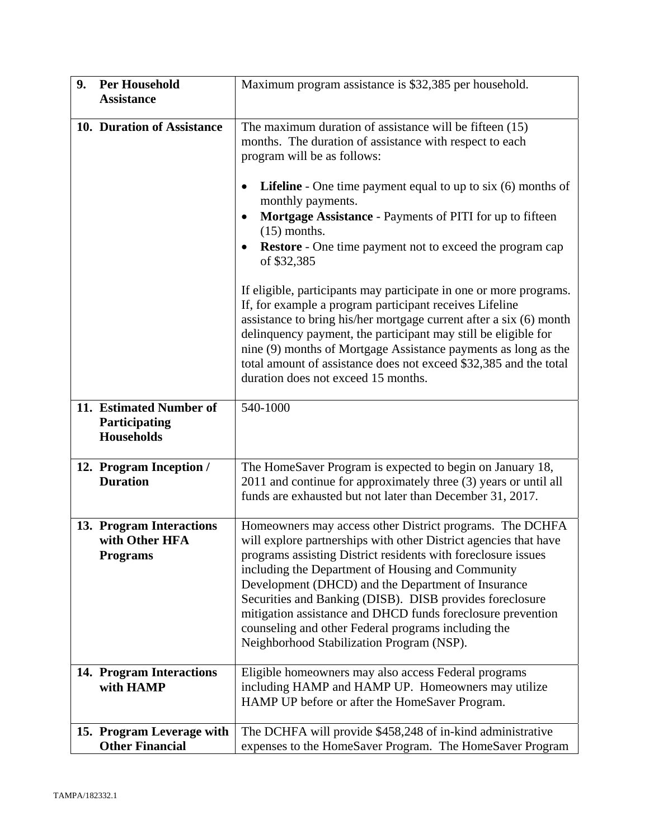| 9. | <b>Per Household</b>                                          | Maximum program assistance is \$32,385 per household.                                                                                                                                                                                                                                                                                                                                                                                                                                                                                   |  |
|----|---------------------------------------------------------------|-----------------------------------------------------------------------------------------------------------------------------------------------------------------------------------------------------------------------------------------------------------------------------------------------------------------------------------------------------------------------------------------------------------------------------------------------------------------------------------------------------------------------------------------|--|
|    | <b>Assistance</b>                                             |                                                                                                                                                                                                                                                                                                                                                                                                                                                                                                                                         |  |
|    | 10. Duration of Assistance                                    | The maximum duration of assistance will be fifteen (15)<br>months. The duration of assistance with respect to each<br>program will be as follows:                                                                                                                                                                                                                                                                                                                                                                                       |  |
|    |                                                               | <b>Lifeline</b> - One time payment equal to up to six $(6)$ months of<br>٠<br>monthly payments.<br>Mortgage Assistance - Payments of PITI for up to fifteen<br>٠<br>$(15)$ months.<br><b>Restore</b> - One time payment not to exceed the program cap<br>٠<br>of \$32,385                                                                                                                                                                                                                                                               |  |
|    |                                                               | If eligible, participants may participate in one or more programs.<br>If, for example a program participant receives Lifeline<br>assistance to bring his/her mortgage current after a six (6) month<br>delinquency payment, the participant may still be eligible for<br>nine (9) months of Mortgage Assistance payments as long as the<br>total amount of assistance does not exceed \$32,385 and the total<br>duration does not exceed 15 months.                                                                                     |  |
|    | 11. Estimated Number of<br>Participating<br><b>Households</b> | 540-1000                                                                                                                                                                                                                                                                                                                                                                                                                                                                                                                                |  |
|    | 12. Program Inception /<br><b>Duration</b>                    | The HomeSaver Program is expected to begin on January 18,<br>2011 and continue for approximately three (3) years or until all<br>funds are exhausted but not later than December 31, 2017.                                                                                                                                                                                                                                                                                                                                              |  |
|    | 13. Program Interactions<br>with Other HFA<br><b>Programs</b> | Homeowners may access other District programs. The DCHFA<br>will explore partnerships with other District agencies that have<br>programs assisting District residents with foreclosure issues<br>including the Department of Housing and Community<br>Development (DHCD) and the Department of Insurance<br>Securities and Banking (DISB). DISB provides foreclosure<br>mitigation assistance and DHCD funds foreclosure prevention<br>counseling and other Federal programs including the<br>Neighborhood Stabilization Program (NSP). |  |
|    | 14. Program Interactions<br>with HAMP                         | Eligible homeowners may also access Federal programs<br>including HAMP and HAMP UP. Homeowners may utilize<br>HAMP UP before or after the HomeSaver Program.                                                                                                                                                                                                                                                                                                                                                                            |  |
|    | 15. Program Leverage with<br><b>Other Financial</b>           | The DCHFA will provide \$458,248 of in-kind administrative<br>expenses to the HomeSaver Program. The HomeSaver Program                                                                                                                                                                                                                                                                                                                                                                                                                  |  |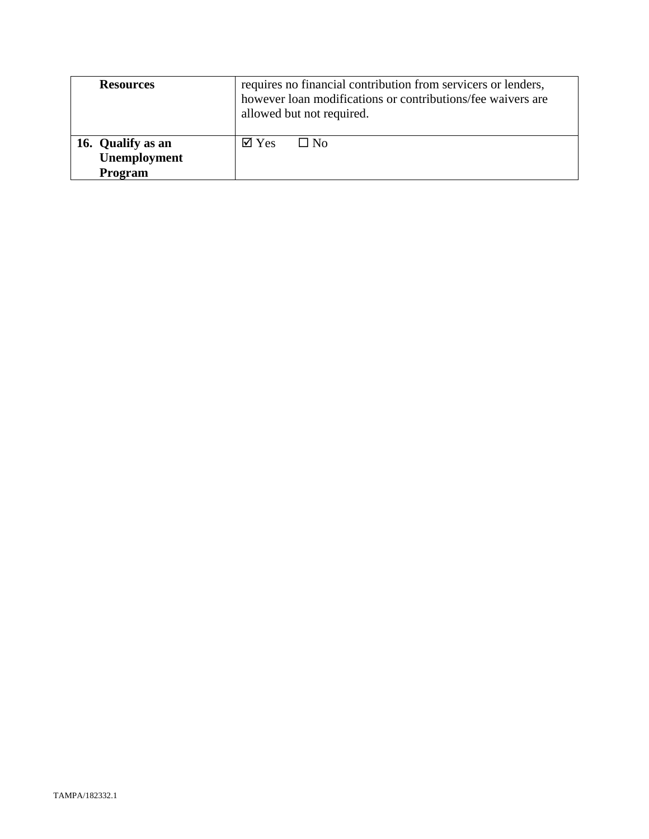| <b>Resources</b>                             | requires no financial contribution from servicers or lenders,<br>however loan modifications or contributions/fee waivers are<br>allowed but not required. |  |
|----------------------------------------------|-----------------------------------------------------------------------------------------------------------------------------------------------------------|--|
| 16. Qualify as an<br>Unemployment<br>Program | $\boxtimes$ Yes<br>$\Box$ No                                                                                                                              |  |